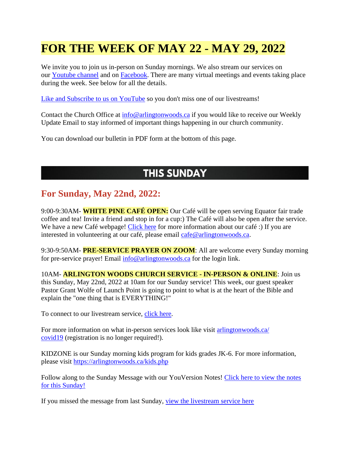# **FOR THE WEEK OF MAY 22 - MAY 29, 2022**

We invite you to join us in-person on Sunday mornings. We also stream our services on our [Youtube channel](https://www.youtube.com/channel/UCN0jh5__-PL-Mpw_3v-4lMg) and on [Facebook.](https://www.facebook.com/ArlingtonWoodsChurch) There are many virtual meetings and events taking place during the week. See below for all the details.

[Like and Subscribe to us on YouTube](http://www.youtube.com/ArlingtonWoodsChurch) so you don't miss one of our livestreams!

Contact the Church Office at [info@arlingtonwoods.ca](mailto:info@arlingtonwoods.ca) if you would like to receive our Weekly Update Email to stay informed of important things happening in our church community.

You can download our bulletin in PDF form at the bottom of this page.

#### **THIS SUNDAY**

#### **For Sunday, May 22nd, 2022:**

9:00-9:30AM- **WHITE PINE CAFÉ OPEN:** Our Café will be open serving Equator fair trade coffee and tea! Invite a friend and stop in for a cup:) The Café will also be open after the service. We have a new Café webpage! [Click here](https://arlingtonwoods.ca/cafe.php) for more information about our café :) If you are interested in volunteering at our café, please email [cafe@arlingtonwoods.ca.](mailto:cafe@arlingtonwoods.ca)

9:30-9:50AM- **PRE-SERVICE PRAYER ON ZOOM**: All are welcome every Sunday morning for pre-service prayer! Email [info@arlingtonwoods.ca](mailto:info@arlingtonwoods.ca) for the login link.

10AM- **ARLINGTON WOODS CHURCH SERVICE - IN-PERSON & ONLINE**: Join us this Sunday, May 22nd, 2022 at 10am for our Sunday service! This week, our guest speaker Pastor Grant Wolfe of Launch Point is going to point to what is at the heart of the Bible and explain the "one thing that is EVERYTHING!"

To connect to our livestream service, [click here.](https://www.youtube.com/channel/UCN0jh5__-PL-Mpw_3v-4lMg)

For more information on what in-person services look like visit arlingtonwoods.ca/ [covid19](https://arlingtonwoods.ca/covid19.php) (registration is no longer required!).

KIDZONE is our Sunday morning kids program for kids grades JK-6. For more information, please visit <https://arlingtonwoods.ca/kids.php>

Follow along to the Sunday Message with our YouVersion Notes! Click here to view the notes [for this Sunday!](http://bible.com/events/48893736)

If you missed the message from last Sunday, [view the livestream service here](https://www.youtube.com/channel/UCN0jh5__-PL-Mpw_3v-4lMg)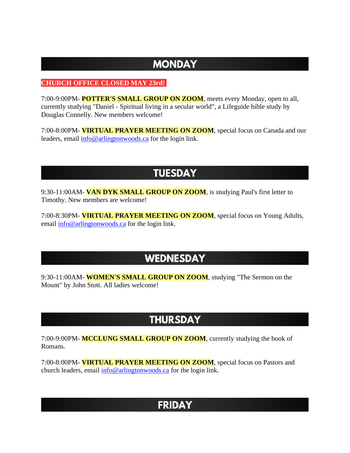## **MONDAY**

#### **CHURCH OFFICE CLOSED MAY 23rd!**

7:00-9:00PM- **POTTER'S SMALL GROUP ON ZOOM**, meets every Monday, open to all, currently studying "Daniel - Spiritual living in a secular world", a Lifeguide bible study by Douglas Connelly. New members welcome!

7:00-8:00PM- **VIRTUAL PRAYER MEETING ON ZOOM**, special focus on Canada and our leaders, email  $\frac{info@arlingtonwoods.ca}$  for the login link.

#### **TUESDAY**

9:30-11:00AM- **VAN DYK SMALL GROUP ON ZOOM**, is studying Paul's first letter to Timothy. New members are welcome!

7:00-8:30PM- **VIRTUAL PRAYER MEETING ON ZOOM**, special focus on Young Adults, email [info@arlingtonwoods.ca](mailto:info@arlingtonwoods.ca) for the login link.

### **WEDNESDAY**

9:30-11:00AM- **WOMEN'S SMALL GROUP ON ZOOM**, studying "The Sermon on the Mount" by John Stott. All ladies welcome!

## **THURSDAY**

7:00-9:00PM- **MCCLUNG SMALL GROUP ON ZOOM**, currently studying the book of Romans.

7:00-8:00PM- **VIRTUAL PRAYER MEETING ON ZOOM**, special focus on Pastors and church leaders, email [info@arlingtonwoods.ca](mailto:info@arlingtonwoods.ca) for the login link.

# **FRIDAY**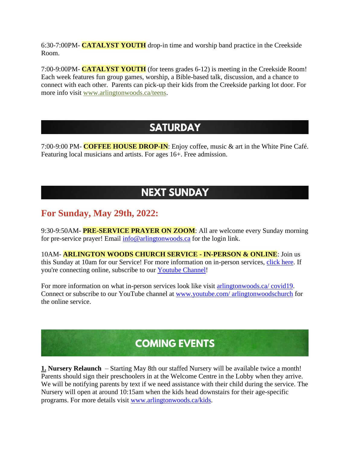6:30-7:00PM- **CATALYST YOUTH** drop-in time and worship band practice in the Creekside Room.

7:00-9:00PM- **CATALYST YOUTH** (for teens grades 6-12) is meeting in the Creekside Room! Each week features fun group games, worship, a Bible-based talk, discussion, and a chance to connect with each other. Parents can pick-up their kids from the Creekside parking lot door. For more info visit [www.arlingtonwoods.ca/teens.](https://arlingtonwoods.ca/teens.php)

#### **SATURDAY**

7:00-9:00 PM- **COFFEE HOUSE DROP-IN**: Enjoy coffee, music & art in the White Pine Café. Featuring local musicians and artists. For ages 16+. Free admission.

## **NEXT SUNDAY**

#### **For Sunday, May 29th, 2022:**

9:30-9:50AM- **PRE-SERVICE PRAYER ON ZOOM**: All are welcome every Sunday morning for pre-service prayer! Email [info@arlingtonwoods.ca](mailto:info@arlingtonwoods.ca) for the login link.

10AM- **ARLINGTON WOODS CHURCH SERVICE - IN-PERSON & ONLINE**: Join us this Sunday at 10am for our Service! For more information on in-person services, [click here.](https://arlingtonwoods.ca/covid19.php) If you're connecting online, subscribe to our [Youtube Channel!](http://www.youtube.com/ArlingtonWoodsChurch)

For more information on what in-person services look like visit arlingtonwoods.ca/covid19. Connect or subscribe to our YouTube channel at www.youtube.com/ [arlingtonwoodschurch](https://www.youtube.com/arlingtonwoodschurch?fbclid=IwAR1K03d9v3OMa1Bqo2xqkwUEbYKvPn60o0X0P74EyVl8ju-MWi7a3_oXTqY) for the online service.

# **COMING EVENTS**

**1. Nursery Relaunch** – Starting May 8th our staffed Nursery will be available twice a month! Parents should sign their preschoolers in at the Welcome Centre in the Lobby when they arrive. We will be notifying parents by text if we need assistance with their child during the service. The Nursery will open at around 10:15am when the kids head downstairs for their age-specific programs. For more details visit [www.arlingtonwoods.ca/kids.](http://www.arlingtonwoods.ca/kids)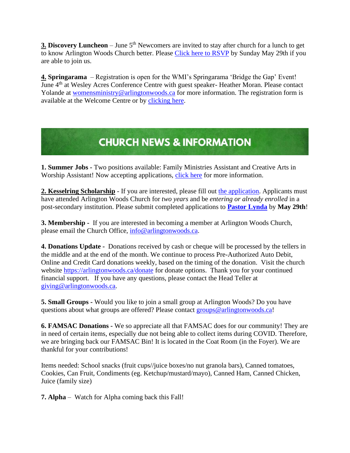**3. Discovery Luncheon** – June 5<sup>th</sup> Newcomers are invited to stay after church for a lunch to get to know Arlington Woods Church better. Please [Click here to RSVP](http://www.arlingtonwoods.ca/lunch) by Sunday May 29th if you are able to join us.

**4. Springarama** – Registration is open for the WMI's Springarama 'Bridge the Gap' Event! June 4th at Wesley Acres Conference Centre with guest speaker- Heather Moran. Please contact Yolande at [womensministry@arlingtonwoods.ca](mailto:womensministry@arlingtonwoods.ca) for more information. The registration form is available at the Welcome Centre or by [clicking here.](https://wmi-fmcic.us4.list-manage.com/track/click?u=036d3650c8de6feee0f5b8dab&id=2a9d911d60&e=fd23aa529d)

# **CHURCH NEWS & INFORMATION**

**1. Summer Jobs -** Two positions available: Family Ministries Assistant and Creative Arts in Worship Assistant! Now accepting applications, [click here](https://arlingtonwoods.ca/employment.php) for more information.

2. **Kesselring Scholarship** - If you are interested, please fill out [the application.](https://arlingtonwoods.ca/photos/custom/PDF/Patrick%20Kesselring%20Scholarship.pdf) Applicants must have attended Arlington Woods Church for *two years* and be *entering or already enrolled* in a post-secondary institution. Please submit completed applications to **[Pastor Lynda](mailto:lynda@arlingtonwoods.ca)** by **May 29th**!

**3. Membership** - If you are interested in becoming a member at Arlington Woods Church, please email the Church Office, [info@arlingtonwoods.ca.](mailto:info@arlingtonwoods.ca)

**4. Donations Update -** Donations received by cash or cheque will be processed by the tellers in the middle and at the end of the month. We continue to process Pre-Authorized Auto Debit, Online and Credit Card donations weekly, based on the timing of the donation. Visit the church website<https://arlingtonwoods.ca/donate> for donate options. Thank you for your continued financial support. If you have any questions, please contact the Head Teller at [giving@arlingtonwoods.ca.](mailto:giving@arlingtonwoods.ca)

**5. Small Groups -** Would you like to join a small group at Arlington Woods? Do you have questions about what groups are offered? Please contact [groups@arlingtonwoods.ca!](mailto:groups@arlingtonwoods.ca)

**6. FAMSAC Donations -** We so appreciate all that FAMSAC does for our community! They are in need of certain items, especially due not being able to collect items during COVID. Therefore, we are bringing back our FAMSAC Bin! It is located in the Coat Room (in the Foyer). We are thankful for your contributions!

Items needed: School snacks (fruit cups//juice boxes/no nut granola bars), Canned tomatoes, Cookies, Can Fruit, Condiments (eg. Ketchup/mustard/mayo), Canned Ham, Canned Chicken, Juice (family size)

**7. Alpha** – Watch for Alpha coming back this Fall!